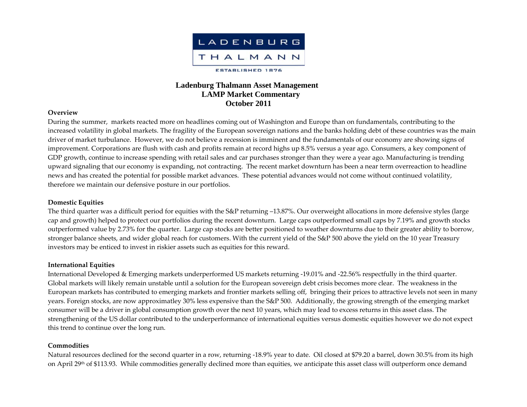

# **Ladenburg Thalmann Asset Management LAMP Market Commentary October 2011**

#### **Overview**

During the summer, markets reacted more on headlines coming out of Washington and Europe than on fundamentals, contributing to the increased volatility in global markets. The fragility of the European sovereign nations and the banks holding debt of these countries was the main driver of market turbulance. However, we do not believe <sup>a</sup> recession is imminent and the fundamentals of our economy are showing signs of improvement. Corporations are flush with cash and profits remain at record highs up 8.5% versus <sup>a</sup> year ago. Consumers, <sup>a</sup> key componen<sup>t</sup> of GDP growth, continue to increase spending with retail sales and car purchases stronger than they were <sup>a</sup> year ago. Manufacturing is trending upward signaling that our economy is expanding, not contracting. The recent market downturn has been <sup>a</sup> near term overreaction to headline news and has created the potential for possible market advances. These potential advances would not come without continued volatility, therefore we maintain our defensive posture in our portfolios.

## **Domestic Equities**

The third quarter was <sup>a</sup> difficult period for equities with the S&P returning –13.87%. Our overweight allocations in more defensive styles (large cap and growth) helped to protect our portfolios during the recent downturn. Large caps outperformed small caps by 7.19% and growth stocks outperformed value by 2.73% for the quarter. Large cap stocks are better positioned to weather downturns due to their greater ability to borrow, stronger balance sheets, and wider global reach for customers. With the current yield of the S&P 500 above the yield on the 10 year Treasury investors may be enticed to invest in riskier assets such as equities for this reward.

### **International Equities**

International Developed & Emerging markets underperformed US markets returning ‐19.01% and ‐22.56% respectfully in the third quarter. Global markets will likely remain unstable until <sup>a</sup> solution for the European sovereign debt crisis becomes more clear. The weakness in the European markets has contributed to emerging markets and frontier markets selling off, bringing their prices to attractive levels not seen in many years. Foreign stocks, are now approximatley 30% less expensive than the S&P 500. Additionally, the growing strength of the emerging market consumer will be a driver in global consumption growth over the next 10 years, which may lead to excess returns in this asset class. The strengthening of the US dollar contributed to the underperformance of international equities versus domestic equities however we do not expec<sup>t</sup> this trend to continue over the long run.

### **Commodities**

Natural resources declined for the second quarter in <sup>a</sup> row, returning ‐18.9% year to date. Oil closed at \$79.20 <sup>a</sup> barrel, down 30.5% from its high on April 29th of \$113.93. While commodities generally declined more than equities, we anticipate this asset class will outperform once demand